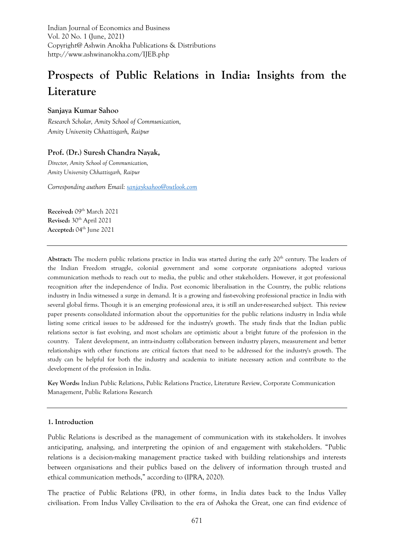Indian Journal of Economics and Business Vol. 20 No. 1 (June, 2021) Copyright@ Ashwin Anokha Publications & Distributions http://www.ashwinanokha.com/IJEB.php

# **Prospects of Public Relations in India: Insights from the Literature**

## **Sanjaya Kumar Sahoo**

*Research Scholar, Amity School of Communication, Amity University Chhattisgarh, Raipur*

## **Prof. (Dr.) Suresh Chandra Nayak,**

*Director, Amity School of Communication, Amity University Chhattisgarh, Raipur*

*Corresponding authors Email[: sanjayksahoo@outlook.com](mailto:sanjayksahoo@outlook.com)*

Received: 09<sup>th</sup> March 2021 **Revised:** 30th April 2021 **Accepted:** 04th June 2021

Abstract: The modern public relations practice in India was started during the early 20<sup>th</sup> century. The leaders of the Indian Freedom struggle, colonial government and some corporate organisations adopted various communication methods to reach out to media, the public and other stakeholders. However, it got professional recognition after the independence of India. Post economic liberalisation in the Country, the public relations industry in India witnessed a surge in demand. It is a growing and fast-evolving professional practice in India with several global firms. Though it is an emerging professional area, it is still an under-researched subject. This review paper presents consolidated information about the opportunities for the public relations industry in India while listing some critical issues to be addressed for the industry's growth. The study finds that the Indian public relations sector is fast evolving, and most scholars are optimistic about a bright future of the profession in the country. Talent development, an intra-industry collaboration between industry players, measurement and better relationships with other functions are critical factors that need to be addressed for the industry's growth. The study can be helpful for both the industry and academia to initiate necessary action and contribute to the development of the profession in India.

**Key Words:** Indian Public Relations, Public Relations Practice, Literature Review, Corporate Communication Management, Public Relations Research

#### **1. Introduction**

Public Relations is described as the management of communication with its stakeholders. It involves anticipating, analysing, and interpreting the opinion of and engagement with stakeholders. "Public relations is a decision-making management practice tasked with building relationships and interests between organisations and their publics based on the delivery of information through trusted and ethical communication methods," according to (IPRA, 2020).

The practice of Public Relations (PR), in other forms, in India dates back to the Indus Valley civilisation. From Indus Valley Civilisation to the era of Ashoka the Great, one can find evidence of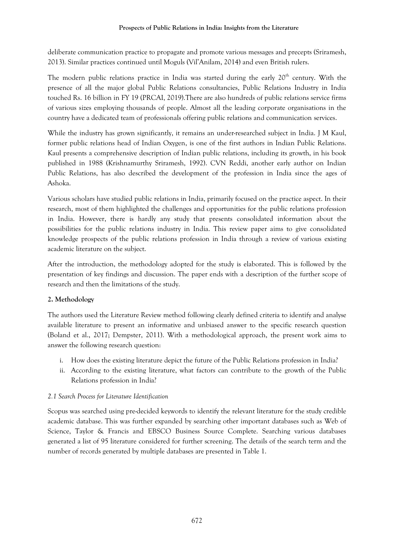#### **Prospects of Public Relations in India: Insights from the Literature**

deliberate communication practice to propagate and promote various messages and precepts (Sriramesh, 2013). Similar practices continued until Moguls (Vil'Anilam, 2014) and even British rulers.

The modern public relations practice in India was started during the early 20<sup>th</sup> century. With the presence of all the major global Public Relations consultancies, Public Relations Industry in India touched Rs. 16 billion in FY 19 (PRCAI, 2019).There are also hundreds of public relations service firms of various sizes employing thousands of people. Almost all the leading corporate organisations in the country have a dedicated team of professionals offering public relations and communication services.

While the industry has grown significantly, it remains an under-researched subject in India. J M Kaul, former public relations head of Indian Oxygen, is one of the first authors in Indian Public Relations. Kaul presents a comprehensive description of Indian public relations, including its growth, in his book published in 1988 (Krishnamurthy Sriramesh, 1992). CVN Reddi, another early author on Indian Public Relations, has also described the development of the profession in India since the ages of Ashoka.

Various scholars have studied public relations in India, primarily focused on the practice aspect. In their research, most of them highlighted the challenges and opportunities for the public relations profession in India. However, there is hardly any study that presents consolidated information about the possibilities for the public relations industry in India. This review paper aims to give consolidated knowledge prospects of the public relations profession in India through a review of various existing academic literature on the subject.

After the introduction, the methodology adopted for the study is elaborated. This is followed by the presentation of key findings and discussion. The paper ends with a description of the further scope of research and then the limitations of the study.

# **2. Methodology**

The authors used the Literature Review method following clearly defined criteria to identify and analyse available literature to present an informative and unbiased answer to the specific research question (Boland et al., 2017; Dempster, 2011). With a methodological approach, the present work aims to answer the following research question:

- i. How does the existing literature depict the future of the Public Relations profession in India?
- ii. According to the existing literature, what factors can contribute to the growth of the Public Relations profession in India?

# *2.1 Search Process for Literature Identification*

Scopus was searched using pre-decided keywords to identify the relevant literature for the study credible academic database. This was further expanded by searching other important databases such as Web of Science, Taylor & Francis and EBSCO Business Source Complete. Searching various databases generated a list of 95 literature considered for further screening. The details of the search term and the number of records generated by multiple databases are presented in Table 1.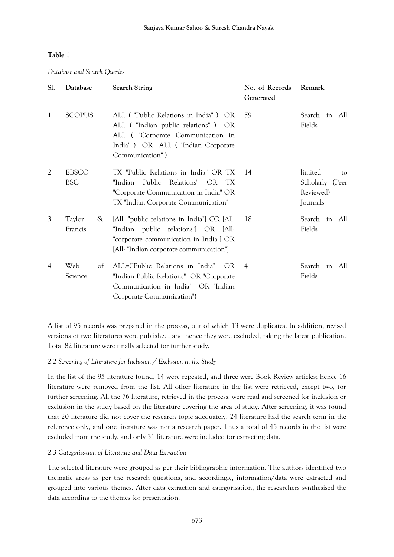## **Table 1**

*Database and Search Queries*

| Sl.            | Database                   | <b>Search String</b>                                                                                                                                                       | No. of Records<br>Generated | Remark                                                              |
|----------------|----------------------------|----------------------------------------------------------------------------------------------------------------------------------------------------------------------------|-----------------------------|---------------------------------------------------------------------|
| 1              | <b>SCOPUS</b>              | ALL ("Public Relations in India") OR<br>ALL ("Indian public relations")<br>OR.<br>ALL ("Corporate Communication in<br>India") OR ALL ("Indian Corporate<br>Communication") | 59                          | Search<br>in All<br>Fields                                          |
| 2              | <b>EBSCO</b><br><b>BSC</b> | TX "Public Relations in India" OR TX<br>"Indian-<br>Public<br>Relations" OR<br>TX.<br>"Corporate Communication in India" OR<br>TX "Indian Corporate Communication"         | 14                          | limited<br>$t_{\Omega}$<br>Scholarly (Peer<br>Reviewed)<br>Journals |
| $\mathfrak{Z}$ | Taylor<br>&<br>Francis     | [All: "public relations in India"] OR [All:<br>"Indian public relations"] OR [All:<br>"corporate communication in India"] OR<br>[All: "Indian corporate communication"]    | 18                          | Search in All<br>Fields                                             |
| 4              | Web<br>of<br>Science       | ALL=("Public Relations in India"<br>OR.<br>"Indian Public Relations" OR "Corporate<br>Communication in India" OR "Indian<br>Corporate Communication")                      | 4                           | Search<br>in All<br>Fields                                          |

A list of 95 records was prepared in the process, out of which 13 were duplicates. In addition, revised versions of two literatures were published, and hence they were excluded, taking the latest publication. Total 82 literature were finally selected for further study.

# *2.2 Screening of Literature for Inclusion / Exclusion in the Study*

In the list of the 95 literature found, 14 were repeated, and three were Book Review articles; hence 16 literature were removed from the list. All other literature in the list were retrieved, except two, for further screening. All the 76 literature, retrieved in the process, were read and screened for inclusion or exclusion in the study based on the literature covering the area of study. After screening, it was found that 20 literature did not cover the research topic adequately, 24 literature had the search term in the reference only, and one literature was not a research paper. Thus a total of 45 records in the list were excluded from the study, and only 31 literature were included for extracting data.

# *2.3 Categorisation of Literature and Data Extraction*

The selected literature were grouped as per their bibliographic information. The authors identified two thematic areas as per the research questions, and accordingly, information/data were extracted and grouped into various themes. After data extraction and categorisation, the researchers synthesised the data according to the themes for presentation.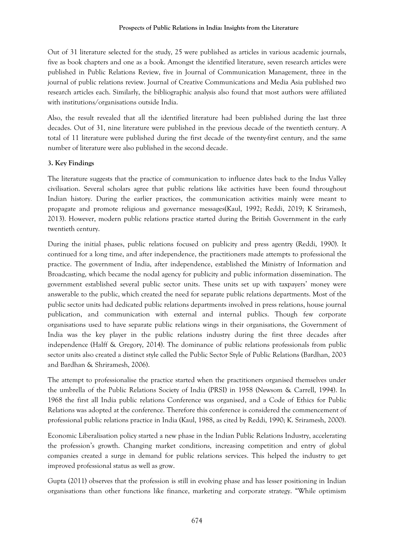Out of 31 literature selected for the study, 25 were published as articles in various academic journals, five as book chapters and one as a book. Amongst the identified literature, seven research articles were published in Public Relations Review, five in Journal of Communication Management, three in the journal of public relations review. Journal of Creative Communications and Media Asia published two research articles each. Similarly, the bibliographic analysis also found that most authors were affiliated with institutions/organisations outside India.

Also, the result revealed that all the identified literature had been published during the last three decades. Out of 31, nine literature were published in the previous decade of the twentieth century. A total of 11 literature were published during the first decade of the twenty-first century, and the same number of literature were also published in the second decade.

# **3. Key Findings**

The literature suggests that the practice of communication to influence dates back to the Indus Valley civilisation. Several scholars agree that public relations like activities have been found throughout Indian history. During the earlier practices, the communication activities mainly were meant to propagate and promote religious and governance messages(Kaul, 1992; Reddi, 2019; K Sriramesh, 2013). However, modern public relations practice started during the British Government in the early twentieth century.

During the initial phases, public relations focused on publicity and press agentry (Reddi, 1990). It continued for a long time, and after independence, the practitioners made attempts to professional the practice. The government of India, after independence, established the Ministry of Information and Broadcasting, which became the nodal agency for publicity and public information dissemination. The government established several public sector units. These units set up with taxpayers' money were answerable to the public, which created the need for separate public relations departments. Most of the public sector units had dedicated public relations departments involved in press relations, house journal publication, and communication with external and internal publics. Though few corporate organisations used to have separate public relations wings in their organisations, the Government of India was the key player in the public relations industry during the first three decades after independence (Halff & Gregory, 2014). The dominance of public relations professionals from public sector units also created a distinct style called the Public Sector Style of Public Relations (Bardhan, 2003 and Bardhan & Shriramesh, 2006).

The attempt to professionalise the practice started when the practitioners organised themselves under the umbrella of the Public Relations Society of India (PRSI) in 1958 (Newsom & Carrell, 1994). In 1968 the first all India public relations Conference was organised, and a Code of Ethics for Public Relations was adopted at the conference. Therefore this conference is considered the commencement of professional public relations practice in India (Kaul, 1988, as cited by Reddi, 1990; K. Sriramesh, 2000).

Economic Liberalisation policy started a new phase in the Indian Public Relations Industry, accelerating the profession's growth. Changing market conditions, increasing competition and entry of global companies created a surge in demand for public relations services. This helped the industry to get improved professional status as well as grow.

Gupta (2011) observes that the profession is still in evolving phase and has lesser positioning in Indian organisations than other functions like finance, marketing and corporate strategy. "While optimism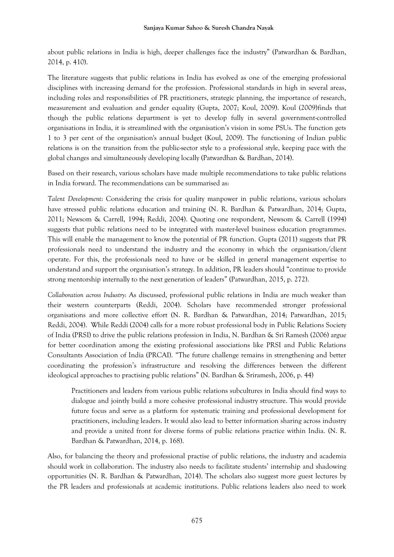about public relations in India is high, deeper challenges face the industry" (Patwardhan & Bardhan, 2014, p. 410).

The literature suggests that public relations in India has evolved as one of the emerging professional disciplines with increasing demand for the profession. Professional standards in high in several areas, including roles and responsibilities of PR practitioners, strategic planning, the importance of research, measurement and evaluation and gender equality (Gupta, 2007; Koul, 2009). Koul (2009)finds that though the public relations department is yet to develop fully in several government-controlled organisations in India, it is streamlined with the organisation's vision in some PSUs. The function gets 1 to 3 per cent of the organisation's annual budget (Koul, 2009). The functioning of Indian public relations is on the transition from the public-sector style to a professional style, keeping pace with the global changes and simultaneously developing locally (Patwardhan & Bardhan, 2014).

Based on their research, various scholars have made multiple recommendations to take public relations in India forward. The recommendations can be summarised as:

*Talent Development*: Considering the crisis for quality manpower in public relations, various scholars have stressed public relations education and training (N. R. Bardhan & Patwardhan, 2014; Gupta, 2011; Newsom & Carrell, 1994; Reddi, 2004). Quoting one respondent, Newsom & Carrell (1994) suggests that public relations need to be integrated with master-level business education programmes. This will enable the management to know the potential of PR function. Gupta (2011) suggests that PR professionals need to understand the industry and the economy in which the organisation/client operate. For this, the professionals need to have or be skilled in general management expertise to understand and support the organisation's strategy. In addition, PR leaders should "continue to provide strong mentorship internally to the next generation of leaders" (Patwardhan, 2015, p. 272).

*Collaboration across Industry*: As discussed, professional public relations in India are much weaker than their western counterparts (Reddi, 2004). Scholars have recommended stronger professional organisations and more collective effort (N. R. Bardhan & Patwardhan, 2014; Patwardhan, 2015; Reddi, 2004). While Reddi (2004) calls for a more robust professional body in Public Relations Society of India (PRSI) to drive the public relations profession in India, N. Bardhan & Sri Ramesh (2006) argue for better coordination among the existing professional associations like PRSI and Public Relations Consultants Association of India (PRCAI). "The future challenge remains in strengthening and better coordinating the profession's infrastructure and resolving the differences between the different ideological approaches to practising public relations" (N. Bardhan & Sriramesh, 2006, p. 44)

Practitioners and leaders from various public relations subcultures in India should find ways to dialogue and jointly build a more cohesive professional industry structure. This would provide future focus and serve as a platform for systematic training and professional development for practitioners, including leaders. It would also lead to better information sharing across industry and provide a united front for diverse forms of public relations practice within India. (N. R. Bardhan & Patwardhan, 2014, p. 168).

Also, for balancing the theory and professional practise of public relations, the industry and academia should work in collaboration. The industry also needs to facilitate students' internship and shadowing opportunities (N. R. Bardhan & Patwardhan, 2014). The scholars also suggest more guest lectures by the PR leaders and professionals at academic institutions. Public relations leaders also need to work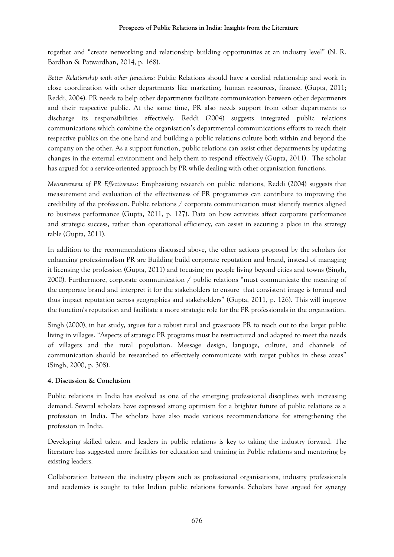together and "create networking and relationship building opportunities at an industry level" (N. R. Bardhan & Patwardhan, 2014, p. 168).

*Better Relationship with other functions:* Public Relations should have a cordial relationship and work in close coordination with other departments like marketing, human resources, finance. (Gupta, 2011; Reddi, 2004). PR needs to help other departments facilitate communication between other departments and their respective public. At the same time, PR also needs support from other departments to discharge its responsibilities effectively. Reddi (2004) suggests integrated public relations communications which combine the organisation's departmental communications efforts to reach their respective publics on the one hand and building a public relations culture both within and beyond the company on the other. As a support function, public relations can assist other departments by updating changes in the external environment and help them to respond effectively (Gupta, 2011). The scholar has argued for a service-oriented approach by PR while dealing with other organisation functions.

*Measurement of PR Effectiveness:* Emphasizing research on public relations, Reddi (2004) suggests that measurement and evaluation of the effectiveness of PR programmes can contribute to improving the credibility of the profession. Public relations / corporate communication must identify metrics aligned to business performance (Gupta, 2011, p. 127). Data on how activities affect corporate performance and strategic success, rather than operational efficiency, can assist in securing a place in the strategy table (Gupta, 2011).

In addition to the recommendations discussed above, the other actions proposed by the scholars for enhancing professionalism PR are Building build corporate reputation and brand, instead of managing it licensing the profession (Gupta, 2011) and focusing on people living beyond cities and towns (Singh, 2000). Furthermore, corporate communication / public relations "must communicate the meaning of the corporate brand and interpret it for the stakeholders to ensure that consistent image is formed and thus impact reputation across geographies and stakeholders" (Gupta, 2011, p. 126). This will improve the function's reputation and facilitate a more strategic role for the PR professionals in the organisation.

Singh (2000), in her study, argues for a robust rural and grassroots PR to reach out to the larger public living in villages. "Aspects of strategic PR programs must be restructured and adapted to meet the needs of villagers and the rural population. Message design, language, culture, and channels of communication should be researched to effectively communicate with target publics in these areas" (Singh, 2000, p. 308).

# **4. Discussion & Conclusion**

Public relations in India has evolved as one of the emerging professional disciplines with increasing demand. Several scholars have expressed strong optimism for a brighter future of public relations as a profession in India. The scholars have also made various recommendations for strengthening the profession in India.

Developing skilled talent and leaders in public relations is key to taking the industry forward. The literature has suggested more facilities for education and training in Public relations and mentoring by existing leaders.

Collaboration between the industry players such as professional organisations, industry professionals and academics is sought to take Indian public relations forwards. Scholars have argued for synergy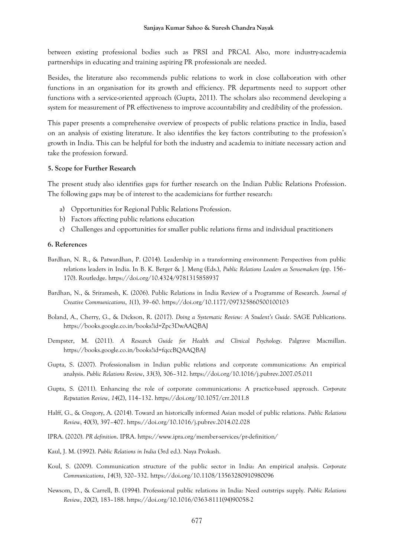between existing professional bodies such as PRSI and PRCAI. Also, more industry-academia partnerships in educating and training aspiring PR professionals are needed.

Besides, the literature also recommends public relations to work in close collaboration with other functions in an organisation for its growth and efficiency. PR departments need to support other functions with a service-oriented approach (Gupta, 2011). The scholars also recommend developing a system for measurement of PR effectiveness to improve accountability and credibility of the profession.

This paper presents a comprehensive overview of prospects of public relations practice in India, based on an analysis of existing literature. It also identifies the key factors contributing to the profession's growth in India. This can be helpful for both the industry and academia to initiate necessary action and take the profession forward.

#### **5. Scope for Further Research**

The present study also identifies gaps for further research on the Indian Public Relations Profession. The following gaps may be of interest to the academicians for further research:

- a) Opportunities for Regional Public Relations Profession.
- b) Factors affecting public relations education
- c) Challenges and opportunities for smaller public relations firms and individual practitioners

#### **6. References**

- Bardhan, N. R., & Patwardhan, P. (2014). Leadership in a transforming environment: Perspectives from public relations leaders in India. In B. K. Berger & J. Meng (Eds.), *Public Relations Leaders as Sensemakers* (pp. 156– 170). Routledge. https://doi.org/10.4324/9781315858937
- Bardhan, N., & Sriramesh, K. (2006). Public Relations in India Review of a Programme of Research. *Journal of Creative Communications*, *1*(1), 39–60. https://doi.org/10.1177/097325860500100103
- Boland, A., Cherry, G., & Dickson, R. (2017). *Doing a Systematic Review: A Student's Guide*. SAGE Publications. https://books.google.co.in/books?id=Zpc3DwAAQBAJ
- Dempster, M. (2011). *A Research Guide for Health and Clinical Psychology*. Palgrave Macmillan. https://books.google.co.in/books?id=fqccBQAAQBAJ
- Gupta, S. (2007). Professionalism in Indian public relations and corporate communications: An empirical analysis. *Public Relations Review*, *33*(3), 306–312. https://doi.org/10.1016/j.pubrev.2007.05.011
- Gupta, S. (2011). Enhancing the role of corporate communications: A practice-based approach. *Corporate Reputation Review*, *14*(2), 114–132. https://doi.org/10.1057/crr.2011.8
- Halff, G., & Gregory, A. (2014). Toward an historically informed Asian model of public relations. *Public Relations Review*, *40*(3), 397–407. https://doi.org/10.1016/j.pubrev.2014.02.028
- IPRA. (2020). *PR definition*. IPRA. https://www.ipra.org/member-services/pr-definition/
- Kaul, J. M. (1992). *Public Relations in India* (3rd ed.). Naya Prokash.
- Koul, S. (2009). Communication structure of the public sector in India: An empirical analysis. *Corporate Communications*, *14*(3), 320–332. https://doi.org/10.1108/13563280910980096
- Newsom, D., & Carrell, B. (1994). Professional public relations in India: Need outstrips supply. *Public Relations Review*, *20*(2), 183–188. https://doi.org/10.1016/0363-8111(94)90058-2